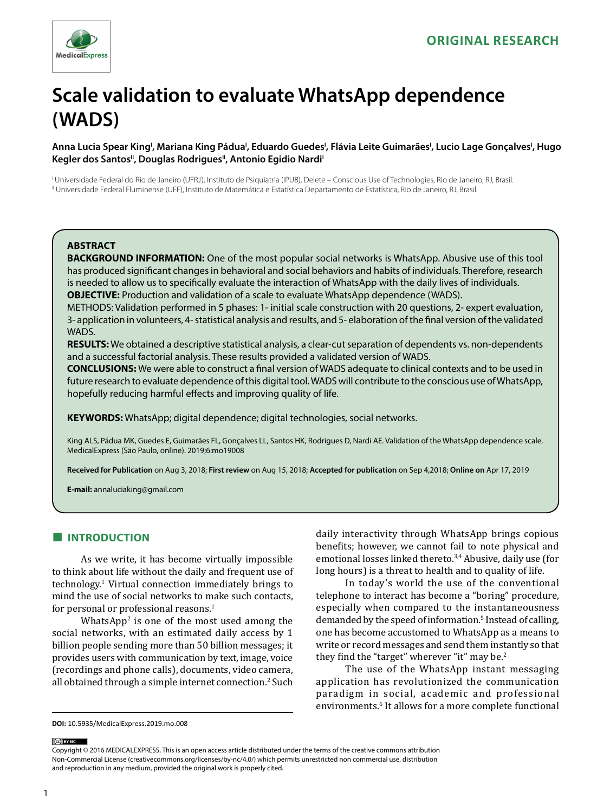

# **Scale validation to evaluate WhatsApp dependence (WADS)**

## Anna Lucia Spear King', Mariana King Pádua', Eduardo Guedes', Flávia Leite Guimarães', Lucio Lage Gonçalves', Hugo Kegler dos Santos<sup>II</sup>, Douglas Rodrigues<sup>II</sup>, Antonio Egidio Nardi<sup>I</sup>

I Universidade Federal do Rio de Janeiro (UFRJ), Instituto de Psiquiatria (IPUB), Delete – Conscious Use of Technologies, Rio de Janeiro, RJ, Brasil. II Universidade Federal Fluminense (UFF), Instituto de Matemática e Estatística Departamento de Estatística, Rio de Janeiro, RJ, Brasil.

### **ABSTRACT**

**BACKGROUND INFORMATION:** One of the most popular social networks is WhatsApp. Abusive use of this tool has produced significant changes in behavioral and social behaviors and habits of individuals. Therefore, research is needed to allow us to specifically evaluate the interaction of WhatsApp with the daily lives of individuals. **OBJECTIVE:** Production and validation of a scale to evaluate WhatsApp dependence (WADS).

METHODS: Validation performed in 5 phases: 1- initial scale construction with 20 questions, 2- expert evaluation, 3- application in volunteers, 4- statistical analysis and results, and 5- elaboration of the final version of the validated WADS.

**RESULTS:** We obtained a descriptive statistical analysis, a clear-cut separation of dependents vs. non-dependents and a successful factorial analysis. These results provided a validated version of WADS.

**CONCLUSIONS:** We were able to construct a final version of WADS adequate to clinical contexts and to be used in future research to evaluate dependence of this digital tool. WADS will contribute to the conscious use of WhatsApp, hopefully reducing harmful effects and improving quality of life.

**KEYWORDS:** WhatsApp; digital dependence; digital technologies, social networks.

King ALS, Pádua MK, Guedes E, Guimarães FL, Gonçalves LL, Santos HK, Rodrigues D, Nardi AE. Validation of the WhatsApp dependence scale. MedicalExpress (São Paulo, online). 2019;6:mo19008

**Received for Publication** on Aug 3, 2018; **First review** on Aug 15, 2018; **Accepted for publication** on Sep 4,2018; **Online on** Apr 17, 2019

**E-mail:** annaluciaking@gmail.com

# **■ INTRODUCTION**

As we write, it has become virtually impossible to think about life without the daily and frequent use of technology.<sup>1</sup> Virtual connection immediately brings to mind the use of social networks to make such contacts, for personal or professional reasons.1

WhatsApp<sup>2</sup> is one of the most used among the social networks, with an estimated daily access by 1 billion people sending more than 50 billion messages; it provides users with communication by text, image, voice (recordings and phone calls), documents, video camera, all obtained through a simple internet connection.2 Such daily interactivity through WhatsApp brings copious benefits; however, we cannot fail to note physical and emotional losses linked thereto.<sup>3,4</sup> Abusive, daily use (for long hours) is a threat to health and to quality of life.

In today's world the use of the conventional telephone to interact has become a "boring" procedure, especially when compared to the instantaneousness demanded by the speed of information.5 Instead of calling, one has become accustomed to WhatsApp as a means to write or record messages and send them instantly so that they find the "target" wherever "it" may be.<sup>2</sup>

The use of the WhatsApp instant messaging application has revolutionized the communication paradigm in social, academic and professional environments.6 It allows for a more complete functional

(ce) BY-NC

Copyright © 2016 MEDICALEXPRESS. This is an open access article distributed under the terms of the creative commons attribution Non-Commercial License [\(creativecommons.org/licenses/by-nc/4.0/\)](http://creativecommons.org/licenses/by-nc/3.0/) which permits unrestricted non commercial use, distribution and reproduction in any medium, provided the original work is properly cited.

**DOI:** 10.5935/MedicalExpress.2019.mo.008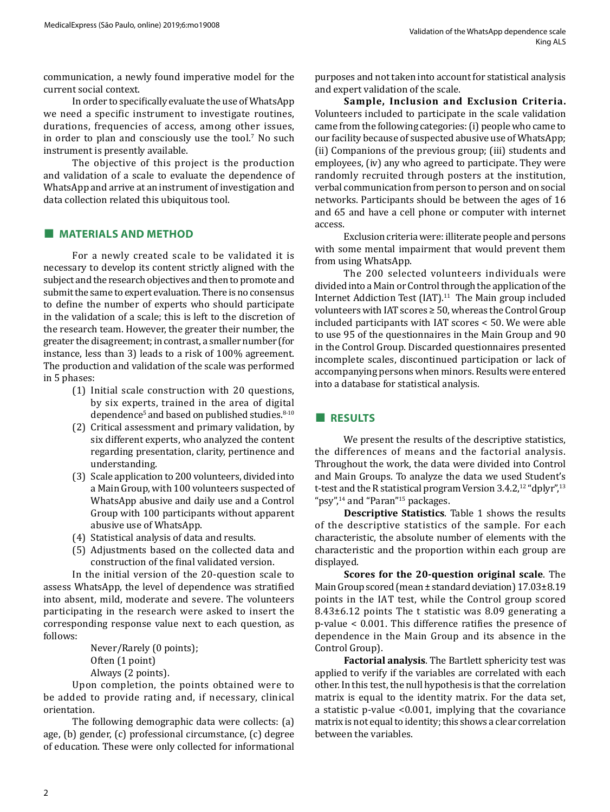communication, a newly found imperative model for the current social context.

In order to specifically evaluate the use of WhatsApp we need a specific instrument to investigate routines, durations, frequencies of access, among other issues, in order to plan and consciously use the tool.<sup>7</sup> No such instrument is presently available.

The objective of this project is the production and validation of a scale to evaluate the dependence of WhatsApp and arrive at an instrument of investigation and data collection related this ubiquitous tool.

## **■ MATERIALS AND METHOD**

For a newly created scale to be validated it is necessary to develop its content strictly aligned with the subject and the research objectives and then to promote and submit the same to expert evaluation. There is no consensus to define the number of experts who should participate in the validation of a scale; this is left to the discretion of the research team. However, the greater their number, the greater the disagreement; in contrast, a smaller number (for instance, less than 3) leads to a risk of 100% agreement. The production and validation of the scale was performed in 5 phases:

- (1) Initial scale construction with 20 questions, by six experts, trained in the area of digital dependence<sup>5</sup> and based on published studies.<sup>8-10</sup>
- (2) Critical assessment and primary validation, by six different experts, who analyzed the content regarding presentation, clarity, pertinence and understanding.
- (3) Scale application to 200 volunteers, divided into a Main Group, with 100 volunteers suspected of WhatsApp abusive and daily use and a Control Group with 100 participants without apparent abusive use of WhatsApp.
- (4) Statistical analysis of data and results.
- (5) Adjustments based on the collected data and construction of the final validated version.

In the initial version of the 20-question scale to assess WhatsApp, the level of dependence was stratified into absent, mild, moderate and severe. The volunteers participating in the research were asked to insert the corresponding response value next to each question, as follows:

> Never/Rarely (0 points); Often (1 point) Always (2 points).

Upon completion, the points obtained were to be added to provide rating and, if necessary, clinical orientation.

The following demographic data were collects: (a) age, (b) gender, (c) professional circumstance, (c) degree of education. These were only collected for informational purposes and not taken into account for statistical analysis and expert validation of the scale.

**Sample, Inclusion and Exclusion Criteria.**  Volunteers included to participate in the scale validation came from the following categories: (i) people who came to our facility because of suspected abusive use of WhatsApp; (ii) Companions of the previous group; (iii) students and employees, (iv) any who agreed to participate. They were randomly recruited through posters at the institution, verbal communication from person to person and on social networks. Participants should be between the ages of 16 and 65 and have a cell phone or computer with internet access.

Exclusion criteria were: illiterate people and persons with some mental impairment that would prevent them from using WhatsApp.

The 200 selected volunteers individuals were divided into a Main or Control through the application of the Internet Addiction Test (IAT).<sup>11</sup> The Main group included volunteers with IAT scores ≥ 50, whereas the Control Group included participants with IAT scores < 50. We were able to use 95 of the questionnaires in the Main Group and 90 in the Control Group. Discarded questionnaires presented incomplete scales, discontinued participation or lack of accompanying persons when minors. Results were entered into a database for statistical analysis.

## **■ RESULTS**

We present the results of the descriptive statistics, the differences of means and the factorial analysis. Throughout the work, the data were divided into Control and Main Groups. To analyze the data we used Student's t-test and the R statistical program Version  $3.4.2$ ,<sup>12</sup> "dplyr",<sup>13</sup> "psy",<sup>14</sup> and "Paran"<sup>15</sup> packages.

**Descriptive Statistics**. Table 1 shows the results of the descriptive statistics of the sample. For each characteristic, the absolute number of elements with the characteristic and the proportion within each group are displayed.

**Scores for the 20-question original scale**. The Main Group scored (mean ± standard deviation) 17.03±8.19 points in the IAT test, while the Control group scored 8.43±6.12 points The t statistic was 8.09 generating a p-value < 0.001. This difference ratifies the presence of dependence in the Main Group and its absence in the Control Group).

**Factorial analysis**. The Bartlett sphericity test was applied to verify if the variables are correlated with each other. In this test, the null hypothesis is that the correlation matrix is equal to the identity matrix. For the data set, a statistic p-value <0.001, implying that the covariance matrix is not equal to identity; this shows a clear correlation between the variables.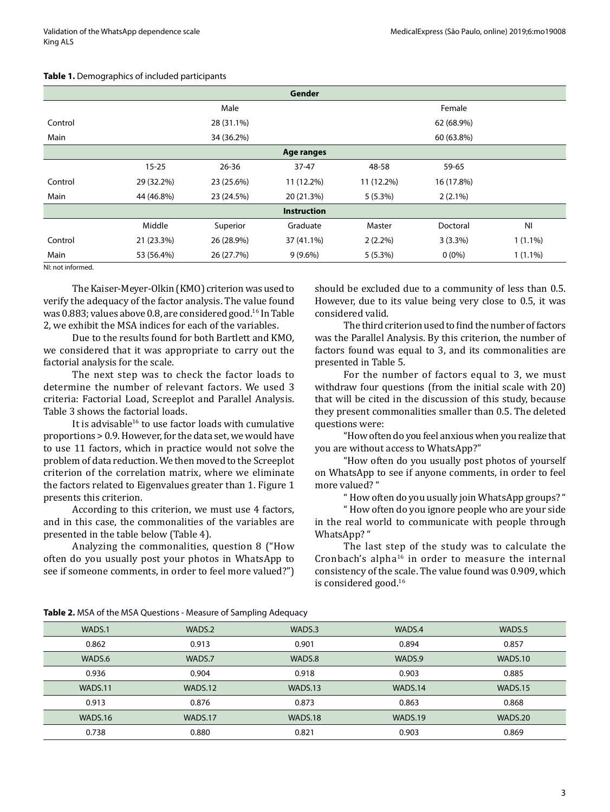|         |            |            | Gender             |            |            |                |
|---------|------------|------------|--------------------|------------|------------|----------------|
|         |            | Male       |                    |            | Female     |                |
| Control |            | 28 (31.1%) |                    | 62 (68.9%) |            |                |
| Main    |            | 34 (36.2%) |                    |            | 60 (63.8%) |                |
|         |            |            | Age ranges         |            |            |                |
|         | $15 - 25$  | $26 - 36$  | $37 - 47$          | 48-58      | 59-65      |                |
| Control | 29 (32.2%) | 23 (25.6%) | 11 (12.2%)         | 11 (12.2%) | 16 (17.8%) |                |
| Main    | 44 (46.8%) | 23 (24.5%) | 20 (21.3%)         | $5(5.3\%)$ | $2(2.1\%)$ |                |
|         |            |            | <b>Instruction</b> |            |            |                |
|         | Middle     | Superior   | Graduate           | Master     | Doctoral   | N <sub>l</sub> |
| Control | 21 (23.3%) | 26 (28.9%) | 37 (41.1%)         | $2(2.2\%)$ | $3(3.3\%)$ | $1(1.1\%)$     |
| Main    | 53 (56.4%) | 26 (27.7%) | $9(9.6\%)$         | $5(5.3\%)$ | $0(0\%)$   | $1(1.1\%)$     |

#### **Table 1.** Demographics of included participants

NI: not informed.

The Kaiser-Meyer-Olkin (KMO) criterion was used to verify the adequacy of the factor analysis. The value found was 0.883; values above 0.8, are considered good.16 In Table 2, we exhibit the MSA indices for each of the variables.

Due to the results found for both Bartlett and KMO, we considered that it was appropriate to carry out the factorial analysis for the scale.

The next step was to check the factor loads to determine the number of relevant factors. We used 3 criteria: Factorial Load, Screeplot and Parallel Analysis. Table 3 shows the factorial loads.

It is advisable<sup>16</sup> to use factor loads with cumulative proportions > 0.9. However, for the data set, we would have to use 11 factors, which in practice would not solve the problem of data reduction. We then moved to the Screeplot criterion of the correlation matrix, where we eliminate the factors related to Eigenvalues greater than 1. Figure 1 presents this criterion.

According to this criterion, we must use 4 factors, and in this case, the commonalities of the variables are presented in the table below (Table 4).

Analyzing the commonalities, question 8 ("How often do you usually post your photos in WhatsApp to see if someone comments, in order to feel more valued?") should be excluded due to a community of less than 0.5. However, due to its value being very close to 0.5, it was considered valid.

The third criterion used to find the number of factors was the Parallel Analysis. By this criterion, the number of factors found was equal to 3, and its commonalities are presented in Table 5.

For the number of factors equal to 3, we must withdraw four questions (from the initial scale with 20) that will be cited in the discussion of this study, because they present commonalities smaller than 0.5. The deleted questions were:

"How often do you feel anxious when you realize that you are without access to WhatsApp?"

"How often do you usually post photos of yourself on WhatsApp to see if anyone comments, in order to feel more valued? "

" How often do you usually join WhatsApp groups? "

" How often do you ignore people who are your side in the real world to communicate with people through WhatsApp? "

The last step of the study was to calculate the Cronbach's alpha $16$  in order to measure the internal consistency of the scale. The value found was 0.909, which is considered good.16

| <b>TWATE</b> THISK OF this mish it gatestrong initiasant or sampling hat quality |         |         |         |         |
|----------------------------------------------------------------------------------|---------|---------|---------|---------|
| WADS.1                                                                           | WADS.2  | WADS.3  | WADS.4  | WADS.5  |
| 0.862                                                                            | 0.913   | 0.901   | 0.894   | 0.857   |
| WADS.6                                                                           | WADS.7  | WADS.8  | WADS.9  | WADS.10 |
| 0.936                                                                            | 0.904   | 0.918   | 0.903   | 0.885   |
| WADS.11                                                                          | WADS.12 | WADS.13 | WADS.14 | WADS.15 |
| 0.913                                                                            | 0.876   | 0.873   | 0.863   | 0.868   |
| WADS.16                                                                          | WADS.17 | WADS.18 | WADS.19 | WADS.20 |
| 0.738                                                                            | 0.880   | 0.821   | 0.903   | 0.869   |

**Table 2.** MSA of the MSA Questions - Measure of Sampling Adequacy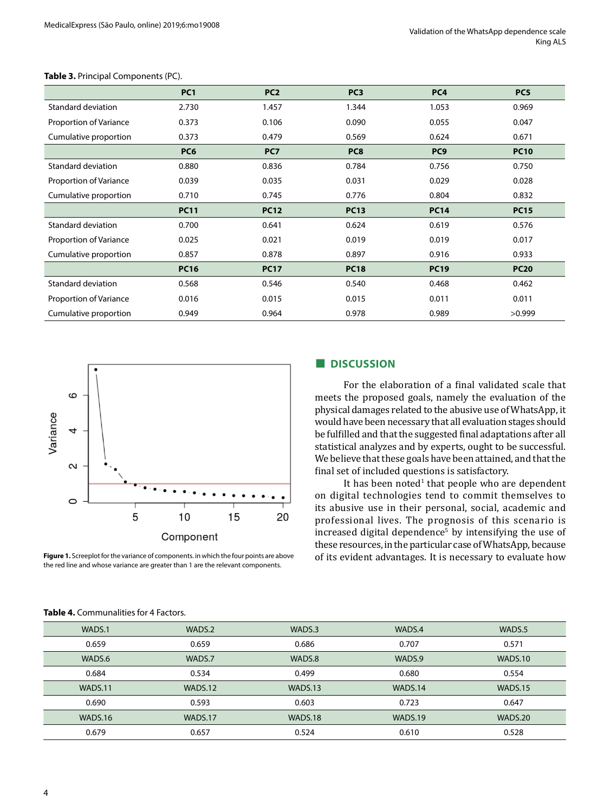|                        | PC <sub>1</sub> | PC <sub>2</sub> | PC <sub>3</sub> | PC <sub>4</sub> | PC <sub>5</sub> |
|------------------------|-----------------|-----------------|-----------------|-----------------|-----------------|
| Standard deviation     | 2.730           | 1.457           | 1.344           | 1.053           | 0.969           |
| Proportion of Variance | 0.373           | 0.106           | 0.090           | 0.055           | 0.047           |
| Cumulative proportion  | 0.373           | 0.479           | 0.569           | 0.624           | 0.671           |
|                        | PC <sub>6</sub> | PC7             | PC8             | PC <sub>9</sub> | <b>PC10</b>     |
| Standard deviation     | 0.880           | 0.836           | 0.784           | 0.756           | 0.750           |
| Proportion of Variance | 0.039           | 0.035           | 0.031           | 0.029           | 0.028           |
| Cumulative proportion  | 0.710           | 0.745           | 0.776           | 0.804           | 0.832           |
|                        | <b>PC11</b>     | <b>PC12</b>     | <b>PC13</b>     | <b>PC14</b>     | <b>PC15</b>     |
| Standard deviation     | 0.700           | 0.641           | 0.624           | 0.619           | 0.576           |
| Proportion of Variance | 0.025           | 0.021           | 0.019           | 0.019           | 0.017           |
| Cumulative proportion  | 0.857           | 0.878           | 0.897           | 0.916           | 0.933           |
|                        | <b>PC16</b>     | <b>PC17</b>     | <b>PC18</b>     | <b>PC19</b>     | <b>PC20</b>     |
| Standard deviation     | 0.568           | 0.546           | 0.540           | 0.468           | 0.462           |
| Proportion of Variance | 0.016           | 0.015           | 0.015           | 0.011           | 0.011           |
| Cumulative proportion  | 0.949           | 0.964           | 0.978           | 0.989           | >0.999          |





**Figure 1.** Screeplot for the variance of components. in which the four points are above the red line and whose variance are greater than 1 are the relevant components.

## **■ DISCUSSION**

For the elaboration of a final validated scale that meets the proposed goals, namely the evaluation of the physical damages related to the abusive use of WhatsApp, it would have been necessary that all evaluation stages should be fulfilled and that the suggested final adaptations after all statistical analyzes and by experts, ought to be successful. We believe that these goals have been attained, and that the final set of included questions is satisfactory.

It has been noted $^1$  that people who are dependent on digital technologies tend to commit themselves to its abusive use in their personal, social, academic and professional lives. The prognosis of this scenario is increased digital dependence<sup>5</sup> by intensifying the use of these resources, in the particular case of WhatsApp, because of its evident advantages. It is necessary to evaluate how

| WADS.1  | WADS.2  | WADS.3  | WADS.4  | WADS.5  |
|---------|---------|---------|---------|---------|
| 0.659   | 0.659   | 0.686   | 0.707   | 0.571   |
| WADS.6  | WADS.7  | WADS.8  | WADS.9  | WADS.10 |
| 0.684   | 0.534   | 0.499   | 0.680   | 0.554   |
| WADS.11 | WADS.12 | WADS.13 | WADS.14 | WADS.15 |
| 0.690   | 0.593   | 0.603   | 0.723   | 0.647   |
| WADS.16 | WADS.17 | WADS.18 | WADS.19 | WADS.20 |
| 0.679   | 0.657   | 0.524   | 0.610   | 0.528   |

#### **Table 4.** Communalities for 4 Factors.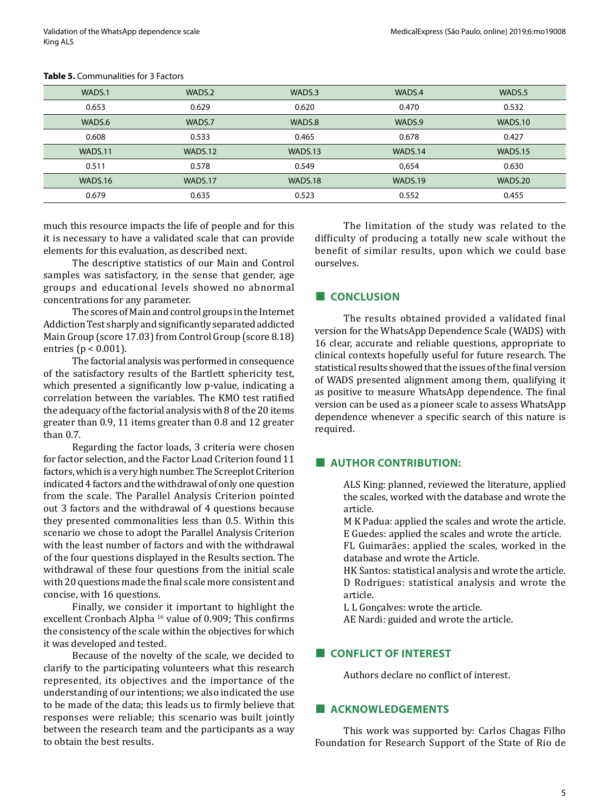| WADS.1  | WADS.2  | WADS.3  | WADS.4  | WADS.5  |
|---------|---------|---------|---------|---------|
| 0.653   | 0.629   | 0.620   | 0.470   | 0.532   |
| WADS.6  | WADS.7  | WADS.8  | WADS.9  | WADS.10 |
| 0.608   | 0.533   | 0.465   | 0.678   | 0.427   |
| WADS.11 | WADS.12 | WADS.13 | WADS.14 | WADS.15 |
| 0.511   | 0.578   | 0.549   | 0.654   | 0.630   |
| WADS.16 | WADS.17 | WADS.18 | WADS.19 | WADS.20 |
| 0.679   | 0.635   | 0.523   | 0.552   | 0.455   |

#### **Table 5.** Communalities for 3 Factors

much this resource impacts the life of people and for this it is necessary to have a validated scale that can provide elements for this evaluation, as described next.

The descriptive statistics of our Main and Control samples was satisfactory, in the sense that gender, age groups and educational levels showed no abnormal concentrations for any parameter.

The scores of Main and control groups in the Internet Addiction Test sharply and significantly separated addicted Main Group (score 17.03) from Control Group (score 8.18) entries (p < 0.001).

The factorial analysis was performed in consequence of the satisfactory results of the Bartlett sphericity test, which presented a significantly low p-value, indicating a correlation between the variables. The KMO test ratified the adequacy of the factorial analysis with 8 of the 20 items greater than 0.9, 11 items greater than 0.8 and 12 greater than 0.7.

Regarding the factor loads, 3 criteria were chosen for factor selection, and the Factor Load Criterion found 11 factors, which is a very high number. The Screeplot Criterion indicated 4 factors and the withdrawal of only one question from the scale. The Parallel Analysis Criterion pointed out 3 factors and the withdrawal of 4 questions because they presented commonalities less than 0.5. Within this scenario we chose to adopt the Parallel Analysis Criterion with the least number of factors and with the withdrawal of the four questions displayed in the Results section. The withdrawal of these four questions from the initial scale with 20 questions made the final scale more consistent and concise, with 16 questions.

Finally, we consider it important to highlight the excellent Cronbach Alpha<sup>16</sup> value of 0.909; This confirms the consistency of the scale within the objectives for which it was developed and tested.

Because of the novelty of the scale, we decided to clarify to the participating volunteers what this research represented, its objectives and the importance of the understanding of our intentions; we also indicated the use to be made of the data; this leads us to firmly believe that responses were reliable; this scenario was built jointly between the research team and the participants as a way to obtain the best results.

The limitation of the study was related to the difficulty of producing a totally new scale without the benefit of similar results, upon which we could base ourselves.

## **■ CONCLUSION**

The results obtained provided a validated final version for the WhatsApp Dependence Scale (WADS) with 16 clear, accurate and reliable questions, appropriate to clinical contexts hopefully useful for future research. The statistical results showed that the issues of the final version of WADS presented alignment among them, qualifying it as positive to measure WhatsApp dependence. The final version can be used as a pioneer scale to assess WhatsApp dependence whenever a specific search of this nature is required.

## **■ AUTHOR CONTRIBUTION:**

ALS King: planned, reviewed the literature, applied the scales, worked with the database and wrote the article.

- M K Padua: applied the scales and wrote the article. E Guedes: applied the scales and wrote the article.
- FL Guimarães: applied the scales, worked in the database and wrote the Article.
- HK Santos: statistical analysis and wrote the article. D Rodrigues: statistical analysis and wrote the article.

L L Gonçalves: wrote the article.

AE Nardi: guided and wrote the article.

# **■ CONFLICT OF INTEREST**

Authors declare no conflict of interest.

## **■ ACKNOWLEDGEMENTS**

This work was supported by: Carlos Chagas Filho Foundation for Research Support of the State of Rio de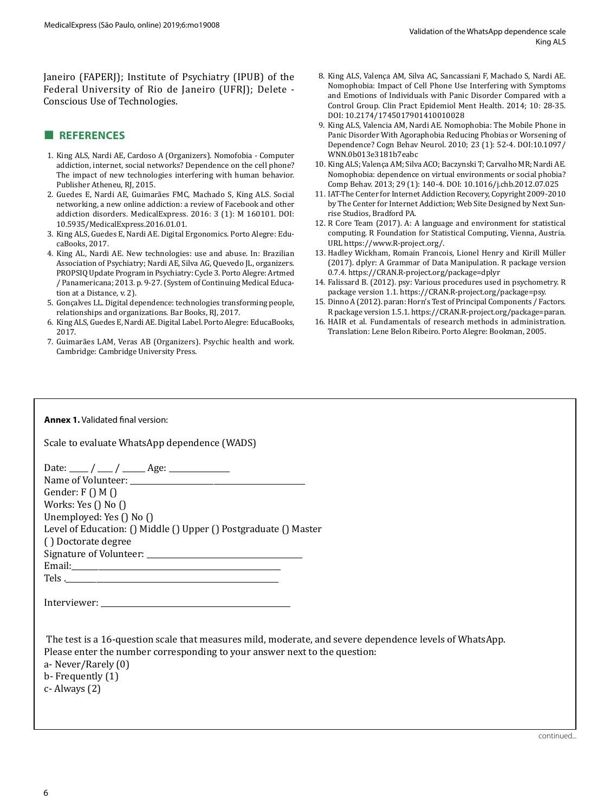Janeiro (FAPERJ); Institute of Psychiatry (IPUB) of the Federal University of Rio de Janeiro (UFRJ); Delete - Conscious Use of Technologies.

# **■ REFERENCES**

- 1. King ALS, Nardi AE, Cardoso A (Organizers). Nomofobia Computer addiction, internet, social networks? Dependence on the cell phone? The impact of new technologies interfering with human behavior. Publisher Atheneu, RJ, 2015.
- 2. Guedes E, Nardi AE, Guimarães FMC, Machado S, King ALS. Social networking, a new online addiction: a review of Facebook and other addiction disorders. MedicalExpress. 2016: 3 (1): M 160101. DOI: 10.5935/MedicalExpress.2016.01.01.
- 3. King ALS, Guedes E, Nardi AE. Digital Ergonomics. Porto Alegre: EducaBooks, 2017.
- 4. King AL, Nardi AE. New technologies: use and abuse. In: Brazilian Association of Psychiatry; Nardi AE, Silva AG, Quevedo JL, organizers. PROPSIQ Update Program in Psychiatry: Cycle 3. Porto Alegre: Artmed / Panamericana; 2013. p. 9-27. (System of Continuing Medical Education at a Distance, v. 2).
- 5. Gonçalves LL. Digital dependence: technologies transforming people, relationships and organizations. Bar Books, RJ, 2017.
- 6. King ALS, Guedes E, Nardi AE. Digital Label. Porto Alegre: EducaBooks, 2017.
- 7. Guimarães LAM, Veras AB (Organizers). Psychic health and work. Cambridge: Cambridge University Press.
- 8. King ALS, Valença AM, Silva AC, Sancassiani F, Machado S, Nardi AE. Nomophobia: Impact of Cell Phone Use Interfering with Symptoms and Emotions of Individuals with Panic Disorder Compared with a Control Group. Clin Pract Epidemiol Ment Health. 2014; 10: 28-35. DOI: 10.2174/1745017901410010028
- 9. King ALS, Valencia AM, Nardi AE. Nomophobia: The Mobile Phone in Panic Disorder With Agoraphobia Reducing Phobias or Worsening of Dependence? Cogn Behav Neurol. 2010; 23 (1): 52-4. DOI:10.1097/ WNN.0b013e3181b7eabc
- 10. King ALS; Valença AM; Silva ACO; Baczynski T; Carvalho MR; Nardi AE. Nomophobia: dependence on virtual environments or social phobia? Comp Behav. 2013; 29 (1): 140-4. DOI: 10.1016/j.chb.2012.07.025
- 11. IAT-The Center for Internet Addiction Recovery, Copyright 2009-2010 by The Center for Internet Addiction; Web Site Designed by Next Sunrise Studios, Bradford PA.
- 12. R Core Team (2017). A: A language and environment for statistical computing. R Foundation for Statistical Computing, Vienna, Austria. URL https://www.R-project.org/.
- 13. Hadley Wickham, Romain Francois, Lionel Henry and Kirill Müller (2017). dplyr: A Grammar of Data Manipulation. R package version 0.7.4. https://CRAN.R-project.org/package=dplyr
- 14. Falissard B. (2012). psy: Various procedures used in psychometry. R package version 1.1. https://CRAN.R-project.org/package=psy.
- 15. Dinno A (2012). paran: Horn's Test of Principal Components / Factors. R package version 1.5.1. https://CRAN.R-project.org/package=paran.
- 16. HAIR et al. Fundamentals of research methods in administration. Translation: Lene Belon Ribeiro. Porto Alegre: Bookman, 2005.

#### **Annex 1.** Validated final version:

| Scale to evaluate WhatsApp dependence (WADS) |  |  |  |
|----------------------------------------------|--|--|--|
|----------------------------------------------|--|--|--|

| Date: ____ / ___ / ____ Age: ____________                        |
|------------------------------------------------------------------|
|                                                                  |
| Gender: $F() M()$                                                |
| Works: Yes $()$ No $()$                                          |
| Unemployed: Yes () No ()                                         |
| Level of Education: () Middle () Upper () Postgraduate () Master |
| () Doctorate degree                                              |
|                                                                  |
|                                                                  |
|                                                                  |
|                                                                  |
| Interviewer:                                                     |

| The test is a 16-question scale that measures mild, moderate, and severe dependence levels of WhatsApp. |
|---------------------------------------------------------------------------------------------------------|
| Please enter the number corresponding to your answer next to the question:                              |
| a- Never/Rarely (0)                                                                                     |
| b- Frequently (1)                                                                                       |
| c- Always (2)                                                                                           |
|                                                                                                         |